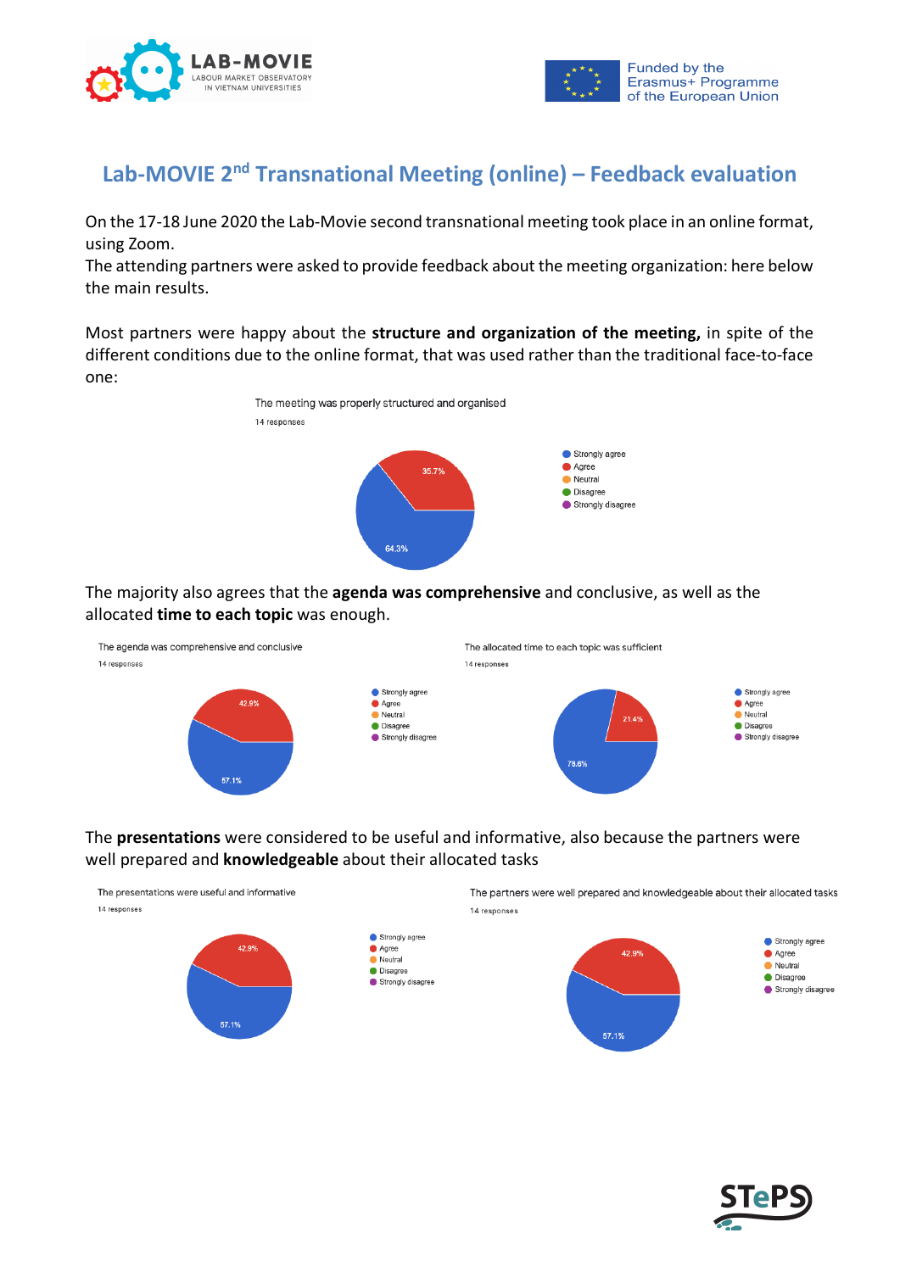



## **Lab-MOVIE 2nd Transnational Meeting (online) – Feedback evaluation**

On the 17-18 June 2020 the Lab-Movie second transnational meeting took place in an online format, using Zoom.

The attending partners were asked to provide feedback about the meeting organization: here below the main results.

Most partners were happy about the **structure and organization of the meeting,** in spite of the different conditions due to the online format, that was used rather than the traditional face-to-face one:



The majority also agrees that the **agenda was comprehensive** and conclusive, as well as the allocated **time to each topic** was enough.



## The **presentations** were considered to be useful and informative, also because the partners were well prepared and **knowledgeable** about their allocated tasks